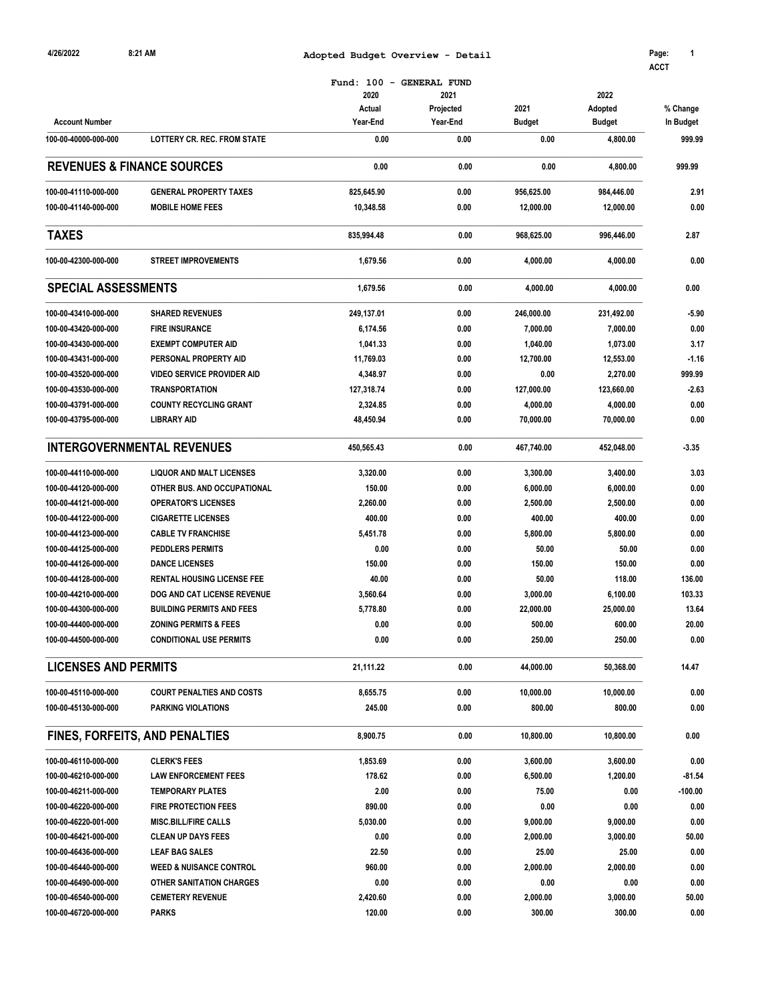| 4/26/2022                   | 8:21 AM                               | Adopted Budget Overview - Detail                       |                               |                       |                                  | Page:<br>1<br><b>ACCT</b> |  |
|-----------------------------|---------------------------------------|--------------------------------------------------------|-------------------------------|-----------------------|----------------------------------|---------------------------|--|
| <b>Account Number</b>       |                                       | Fund: 100 - GENERAL FUND<br>2020<br>Actual<br>Year-End | 2021<br>Projected<br>Year-End | 2021<br><b>Budget</b> | 2022<br>Adopted<br><b>Budget</b> | % Change<br>In Budget     |  |
| 100-00-40000-000-000        | <b>LOTTERY CR. REC. FROM STATE</b>    | 0.00                                                   | 0.00                          | 0.00                  | 4,800.00                         | 999.99                    |  |
|                             | <b>REVENUES &amp; FINANCE SOURCES</b> | 0.00                                                   | 0.00                          | 0.00                  | 4,800.00                         | 999.99                    |  |
| 100-00-41110-000-000        | <b>GENERAL PROPERTY TAXES</b>         | 825,645.90                                             | 0.00                          | 956.625.00            | 984,446.00                       | 2.91                      |  |
| 100-00-41140-000-000        | <b>MOBILE HOME FEES</b>               | 10,348.58                                              | 0.00                          | 12,000.00             | 12,000.00                        | 0.00                      |  |
| <b>TAXES</b>                |                                       | 835,994.48                                             | 0.00                          | 968,625.00            | 996,446.00                       | 2.87                      |  |
| 100-00-42300-000-000        | <b>STREET IMPROVEMENTS</b>            | 1,679.56                                               | 0.00                          | 4,000.00              | 4,000.00                         | 0.00                      |  |
| <b>SPECIAL ASSESSMENTS</b>  |                                       | 1,679.56                                               | 0.00                          | 4,000.00              | 4,000.00                         | 0.00                      |  |
| 100-00-43410-000-000        | <b>SHARED REVENUES</b>                | 249,137.01                                             | 0.00                          | 246,000.00            | 231,492.00                       | $-5.90$                   |  |
| 100-00-43420-000-000        | <b>FIRE INSURANCE</b>                 | 6,174.56                                               | 0.00                          | 7,000.00              | 7,000.00                         | 0.00                      |  |
| 100-00-43430-000-000        | <b>EXEMPT COMPUTER AID</b>            | 1,041.33                                               | 0.00                          | 1,040.00              | 1,073.00                         | 3.17                      |  |
|                             | PERSONAL PROPERTY AID                 |                                                        | 0.00                          |                       |                                  | $-1.16$                   |  |
| 100-00-43431-000-000        |                                       | 11,769.03                                              |                               | 12,700.00             | 12,553.00                        |                           |  |
| 100-00-43520-000-000        | <b>VIDEO SERVICE PROVIDER AID</b>     | 4,348.97                                               | 0.00                          | 0.00                  | 2,270.00                         | 999.99                    |  |
| 100-00-43530-000-000        | <b>TRANSPORTATION</b>                 | 127,318.74                                             | 0.00                          | 127,000.00            | 123,660.00                       | $-2.63$                   |  |
| 100-00-43791-000-000        | <b>COUNTY RECYCLING GRANT</b>         | 2,324.85                                               | 0.00                          | 4,000.00              | 4,000.00                         | 0.00                      |  |
| 100-00-43795-000-000        | <b>LIBRARY AID</b>                    | 48,450.94                                              | 0.00                          | 70,000.00             | 70,000.00                        | 0.00                      |  |
|                             | <b>INTERGOVERNMENTAL REVENUES</b>     | 450,565.43                                             | 0.00                          | 467,740.00            | 452,048.00                       | $-3.35$                   |  |
| 100-00-44110-000-000        | <b>LIQUOR AND MALT LICENSES</b>       | 3,320.00                                               | 0.00                          | 3,300.00              | 3,400.00                         | 3.03                      |  |
| 100-00-44120-000-000        | OTHER BUS. AND OCCUPATIONAL           | 150.00                                                 | 0.00                          | 6,000.00              | 6,000.00                         | 0.00                      |  |
| 100-00-44121-000-000        | <b>OPERATOR'S LICENSES</b>            | 2,260.00                                               | 0.00                          | 2,500.00              | 2,500.00                         | 0.00                      |  |
| 100-00-44122-000-000        | <b>CIGARETTE LICENSES</b>             | 400.00                                                 | 0.00                          | 400.00                | 400.00                           | 0.00                      |  |
| 100-00-44123-000-000        | <b>CABLE TV FRANCHISE</b>             | 5,451.78                                               | 0.00                          | 5,800.00              | 5,800.00                         | 0.00                      |  |
| 100-00-44125-000-000        | <b>PEDDLERS PERMITS</b>               | 0.00                                                   | 0.00                          | 50.00                 | 50.00                            | 0.00                      |  |
| 100-00-44126-000-000        | <b>DANCE LICENSES</b>                 | 150.00                                                 | 0.00                          | 150.00                | 150.00                           | 0.00                      |  |
| 100-00-44128-000-000        | <b>RENTAL HOUSING LICENSE FEE</b>     | 40.00                                                  | 0.00                          | 50.00                 | 118.00                           | 136.00                    |  |
| 100-00-44210-000-000        | DOG AND CAT LICENSE REVENUE           | 3,560.64                                               | 0.00                          | 3,000.00              | 6,100.00                         | 103.33                    |  |
| 100-00-44300-000-000        | <b>BUILDING PERMITS AND FEES</b>      | 5,778.80                                               | 0.00                          | 22,000.00             | 25,000.00                        | 13.64                     |  |
| 100-00-44400-000-000        | <b>ZONING PERMITS &amp; FEES</b>      | 0.00                                                   | 0.00                          | 500.00                | 600.00                           | 20.00                     |  |
| 100-00-44500-000-000        | <b>CONDITIONAL USE PERMITS</b>        | 0.00                                                   | 0.00                          | 250.00                | 250.00                           | 0.00                      |  |
| <b>LICENSES AND PERMITS</b> |                                       | 21,111.22                                              | 0.00                          | 44,000.00             | 50,368.00                        | 14.47                     |  |
| 100-00-45110-000-000        | <b>COURT PENALTIES AND COSTS</b>      | 8,655.75                                               | 0.00                          | 10,000.00             | 10,000.00                        | 0.00                      |  |
| 100-00-45130-000-000        | PARKING VIOLATIONS                    | 245.00                                                 | 0.00                          | 800.00                | 800.00                           | 0.00                      |  |
|                             | FINES, FORFEITS, AND PENALTIES        | 8,900.75                                               | 0.00                          | 10,800.00             | 10,800.00                        | 0.00                      |  |
| 100-00-46110-000-000        | <b>CLERK'S FEES</b>                   | 1,853.69                                               | 0.00                          | 3,600.00              | 3,600.00                         | 0.00                      |  |
| 100-00-46210-000-000        | <b>LAW ENFORCEMENT FEES</b>           | 178.62                                                 | 0.00                          | 6,500.00              | 1,200.00                         | $-81.54$                  |  |
| 100-00-46211-000-000        | <b>TEMPORARY PLATES</b>               | 2.00                                                   | 0.00                          | 75.00                 | 0.00                             | $-100.00$                 |  |
| 100-00-46220-000-000        | <b>FIRE PROTECTION FEES</b>           | 890.00                                                 | 0.00                          | 0.00                  | 0.00                             | 0.00                      |  |
| 100-00-46220-001-000        | <b>MISC.BILL/FIRE CALLS</b>           | 5,030.00                                               | 0.00                          | 9,000.00              | 9,000.00                         | 0.00                      |  |
|                             | <b>CLEAN UP DAYS FEES</b>             | 0.00                                                   | 0.00                          | 2,000.00              | 3,000.00                         | 50.00                     |  |
| 100-00-46421-000-000        |                                       |                                                        |                               |                       |                                  |                           |  |
| 100-00-46436-000-000        | <b>LEAF BAG SALES</b>                 | 22.50                                                  | 0.00                          | 25.00                 | 25.00                            | 0.00                      |  |
| 100-00-46440-000-000        | <b>WEED &amp; NUISANCE CONTROL</b>    | 960.00                                                 | 0.00                          | 2,000.00              | 2,000.00                         | 0.00                      |  |
| 100-00-46490-000-000        | OTHER SANITATION CHARGES              | 0.00                                                   | 0.00                          | 0.00                  | 0.00                             | 0.00                      |  |
| 100-00-46540-000-000        | <b>CEMETERY REVENUE</b>               | 2,420.60                                               | 0.00                          | 2,000.00              | 3,000.00                         | 50.00                     |  |
| 100-00-46720-000-000        | <b>PARKS</b>                          | 120.00                                                 | 0.00                          | 300.00                | 300.00                           | 0.00                      |  |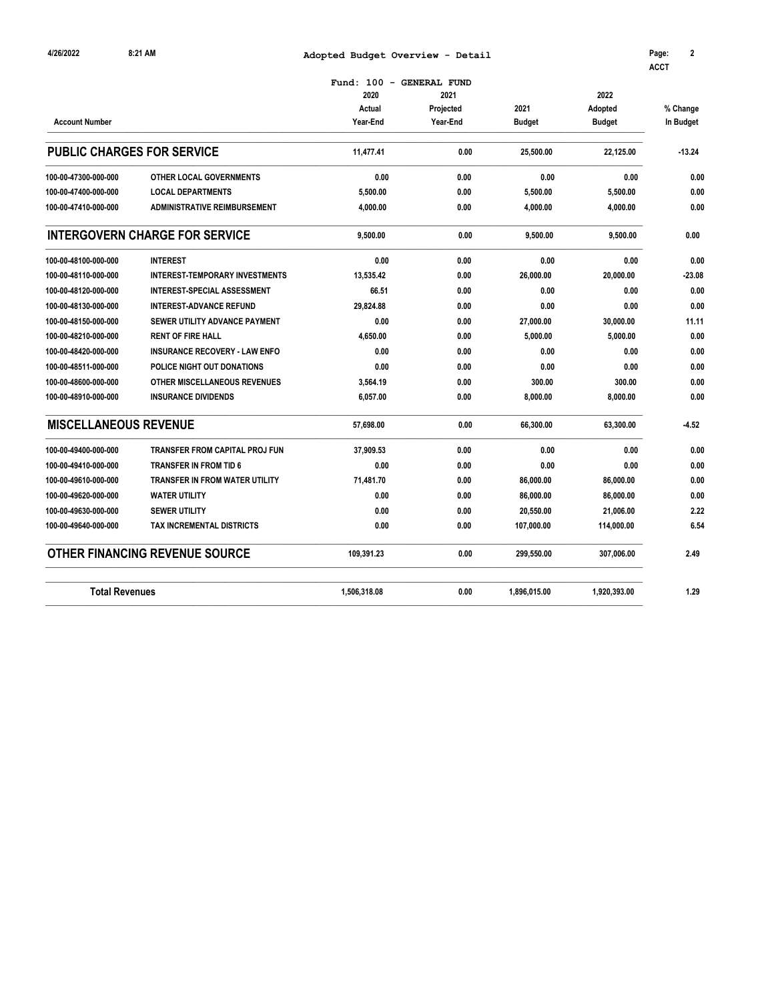| 4/26/2022                    | 8:21 AM                               | Adopted Budget Overview - Detail |                     |               |               | Page:<br>2<br><b>ACCT</b> |
|------------------------------|---------------------------------------|----------------------------------|---------------------|---------------|---------------|---------------------------|
|                              |                                       | Fund: $100 -$                    | <b>GENERAL FUND</b> |               |               |                           |
|                              |                                       | 2020                             | 2021                |               | 2022          |                           |
|                              |                                       | Actual                           | Projected           | 2021          | Adopted       | % Change                  |
| <b>Account Number</b>        |                                       | Year-End                         | Year-End            | <b>Budget</b> | <b>Budget</b> | In Budget                 |
|                              | <b>PUBLIC CHARGES FOR SERVICE</b>     | 11,477.41                        | 0.00                | 25,500.00     | 22,125.00     | $-13.24$                  |
| 100-00-47300-000-000         | <b>OTHER LOCAL GOVERNMENTS</b>        | 0.00                             | 0.00                | 0.00          | 0.00          | 0.00                      |
| 100-00-47400-000-000         | <b>LOCAL DEPARTMENTS</b>              | 5,500.00                         | 0.00                | 5,500.00      | 5,500.00      | 0.00                      |
| 100-00-47410-000-000         | <b>ADMINISTRATIVE REIMBURSEMENT</b>   | 4,000.00                         | 0.00                | 4,000.00      | 4,000.00      | 0.00                      |
|                              | <b>INTERGOVERN CHARGE FOR SERVICE</b> | 9,500.00                         | 0.00                | 9,500.00      | 9,500.00      | 0.00                      |
| 100-00-48100-000-000         | <b>INTEREST</b>                       | 0.00                             | 0.00                | 0.00          | 0.00          | 0.00                      |
| 100-00-48110-000-000         | <b>INTEREST-TEMPORARY INVESTMENTS</b> | 13,535.42                        | 0.00                | 26,000.00     | 20,000.00     | $-23.08$                  |
| 100-00-48120-000-000         | <b>INTEREST-SPECIAL ASSESSMENT</b>    | 66.51                            | 0.00                | 0.00          | 0.00          | 0.00                      |
| 100-00-48130-000-000         | <b>INTEREST-ADVANCE REFUND</b>        | 29,824.88                        | 0.00                | 0.00          | 0.00          | 0.00                      |
| 100-00-48150-000-000         | SEWER UTILITY ADVANCE PAYMENT         | 0.00                             | 0.00                | 27,000.00     | 30,000.00     | 11.11                     |
| 100-00-48210-000-000         | <b>RENT OF FIRE HALL</b>              | 4,650.00                         | 0.00                | 5,000.00      | 5,000.00      | 0.00                      |
| 100-00-48420-000-000         | <b>INSURANCE RECOVERY - LAW ENFO</b>  | 0.00                             | 0.00                | 0.00          | 0.00          | 0.00                      |
| 100-00-48511-000-000         | POLICE NIGHT OUT DONATIONS            | 0.00                             | 0.00                | 0.00          | 0.00          | 0.00                      |
| 100-00-48600-000-000         | OTHER MISCELLANEOUS REVENUES          | 3,564.19                         | 0.00                | 300.00        | 300.00        | 0.00                      |
| 100-00-48910-000-000         | <b>INSURANCE DIVIDENDS</b>            | 6,057.00                         | 0.00                | 8,000.00      | 8,000.00      | 0.00                      |
| <b>MISCELLANEOUS REVENUE</b> |                                       | 57,698.00                        | 0.00                | 66,300.00     | 63,300.00     | $-4.52$                   |
| 100-00-49400-000-000         | <b>TRANSFER FROM CAPITAL PROJ FUN</b> | 37,909.53                        | 0.00                | 0.00          | 0.00          | 0.00                      |
| 100-00-49410-000-000         | <b>TRANSFER IN FROM TID 6</b>         | 0.00                             | 0.00                | 0.00          | 0.00          | 0.00                      |
| 100-00-49610-000-000         | TRANSFER IN FROM WATER UTILITY        | 71,481.70                        | 0.00                | 86,000.00     | 86,000.00     | 0.00                      |
| 100-00-49620-000-000         | <b>WATER UTILITY</b>                  | 0.00                             | 0.00                | 86,000.00     | 86,000.00     | 0.00                      |
| 100-00-49630-000-000         | <b>SEWER UTILITY</b>                  | 0.00                             | 0.00                | 20,550.00     | 21,006.00     | 2.22                      |
| 100-00-49640-000-000         | TAX INCREMENTAL DISTRICTS             | 0.00                             | 0.00                | 107,000.00    | 114,000.00    | 6.54                      |
|                              | <b>OTHER FINANCING REVENUE SOURCE</b> | 109,391.23                       | 0.00                | 299,550.00    | 307,006.00    | 2.49                      |
| <b>Total Revenues</b>        |                                       | 1,506,318.08                     | 0.00                | 1,896,015.00  | 1,920,393.00  | 1.29                      |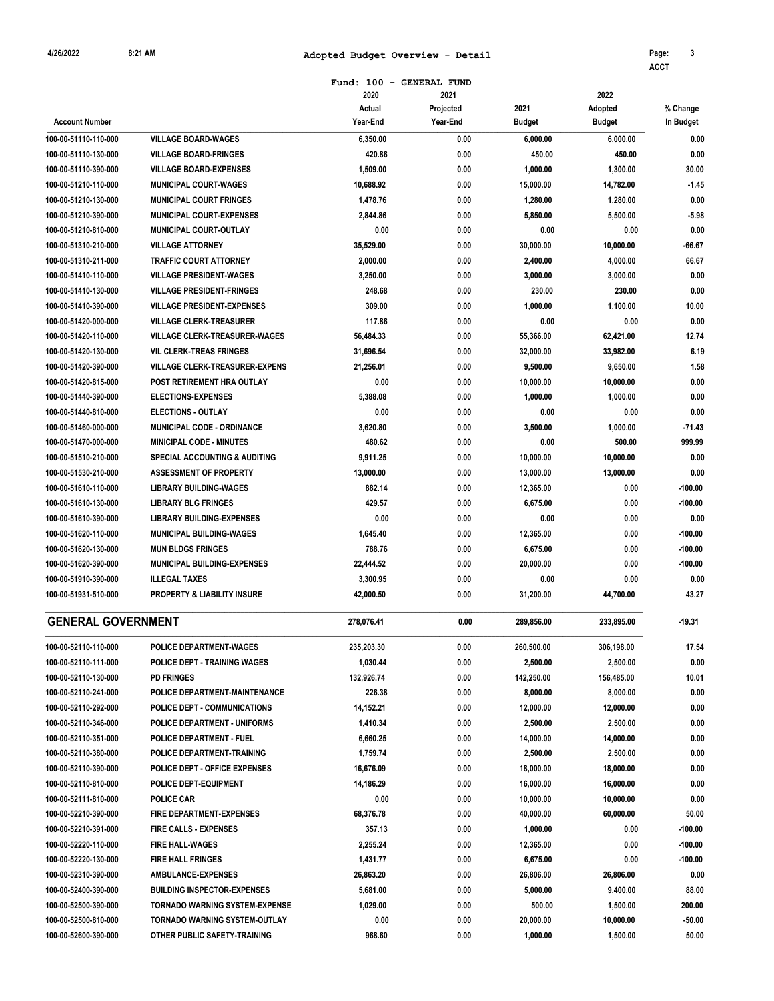## **8:21 AM Adopted Budget Overview - Detail 3 4/26/2022 Page:**

**ACCT**

|                           |                                          | Fund: 100 - GENERAL FUND |           |            |               |           |
|---------------------------|------------------------------------------|--------------------------|-----------|------------|---------------|-----------|
|                           |                                          | 2020                     | 2021      |            | 2022          |           |
|                           |                                          | Actual                   | Projected | 2021       | Adopted       | % Change  |
| <b>Account Number</b>     |                                          | Year-End                 | Year-End  | Budget     | <b>Budget</b> | In Budget |
| 100-00-51110-110-000      | <b>VILLAGE BOARD-WAGES</b>               | 6,350.00                 | 0.00      | 6,000.00   | 6,000.00      | 0.00      |
| 100-00-51110-130-000      | <b>VILLAGE BOARD-FRINGES</b>             | 420.86                   | 0.00      | 450.00     | 450.00        | 0.00      |
| 100-00-51110-390-000      | <b>VILLAGE BOARD-EXPENSES</b>            | 1,509.00                 | 0.00      | 1,000.00   | 1,300.00      | 30.00     |
| 100-00-51210-110-000      | <b>MUNICIPAL COURT-WAGES</b>             | 10,688.92                | 0.00      | 15,000.00  | 14,782.00     | $-1.45$   |
| 100-00-51210-130-000      | <b>MUNICIPAL COURT FRINGES</b>           | 1,478.76                 | 0.00      | 1,280.00   | 1,280.00      | 0.00      |
| 100-00-51210-390-000      | <b>MUNICIPAL COURT-EXPENSES</b>          | 2.844.86                 | 0.00      | 5,850.00   | 5,500.00      | $-5.98$   |
| 100-00-51210-810-000      | MUNICIPAL COURT-OUTLAY                   | 0.00                     | 0.00      | 0.00       | 0.00          | 0.00      |
| 100-00-51310-210-000      | <b>VILLAGE ATTORNEY</b>                  | 35,529.00                | 0.00      | 30,000.00  | 10,000.00     | $-66.67$  |
| 100-00-51310-211-000      | <b>TRAFFIC COURT ATTORNEY</b>            | 2,000.00                 | 0.00      | 2,400.00   | 4,000.00      | 66.67     |
| 100-00-51410-110-000      | <b>VILLAGE PRESIDENT-WAGES</b>           | 3,250.00                 | 0.00      | 3,000.00   | 3,000.00      | 0.00      |
| 100-00-51410-130-000      | <b>VILLAGE PRESIDENT-FRINGES</b>         | 248.68                   | 0.00      | 230.00     | 230.00        | 0.00      |
| 100-00-51410-390-000      | <b>VILLAGE PRESIDENT-EXPENSES</b>        | 309.00                   | 0.00      | 1,000.00   | 1,100.00      | 10.00     |
| 100-00-51420-000-000      | <b>VILLAGE CLERK-TREASURER</b>           | 117.86                   | 0.00      | 0.00       | 0.00          | 0.00      |
| 100-00-51420-110-000      | <b>VILLAGE CLERK-TREASURER-WAGES</b>     | 56,484.33                | 0.00      | 55,366.00  | 62,421.00     | 12.74     |
| 100-00-51420-130-000      | <b>VIL CLERK-TREAS FRINGES</b>           | 31,696.54                | 0.00      | 32,000.00  | 33,982.00     | 6.19      |
| 100-00-51420-390-000      | <b>VILLAGE CLERK-TREASURER-EXPENS</b>    | 21.256.01                | 0.00      | 9,500.00   | 9,650.00      | 1.58      |
| 100-00-51420-815-000      | POST RETIREMENT HRA OUTLAY               | 0.00                     | 0.00      | 10,000.00  | 10.000.00     | 0.00      |
| 100-00-51440-390-000      | <b>ELECTIONS-EXPENSES</b>                | 5,388.08                 | 0.00      | 1,000.00   | 1,000.00      | 0.00      |
| 100-00-51440-810-000      | <b>ELECTIONS - OUTLAY</b>                | 0.00                     | 0.00      | 0.00       | 0.00          | 0.00      |
| 100-00-51460-000-000      | <b>MUNICIPAL CODE - ORDINANCE</b>        | 3,620.80                 | 0.00      | 3,500.00   | 1,000.00      | $-71.43$  |
| 100-00-51470-000-000      | <b>MINICIPAL CODE - MINUTES</b>          | 480.62                   | 0.00      | 0.00       | 500.00        | 999.99    |
| 100-00-51510-210-000      | <b>SPECIAL ACCOUNTING &amp; AUDITING</b> | 9,911.25                 | 0.00      | 10,000.00  | 10,000.00     | 0.00      |
| 100-00-51530-210-000      | <b>ASSESSMENT OF PROPERTY</b>            | 13,000.00                | 0.00      | 13,000.00  | 13,000.00     | 0.00      |
| 100-00-51610-110-000      | <b>LIBRARY BUILDING-WAGES</b>            | 882.14                   | 0.00      | 12,365.00  | 0.00          | $-100.00$ |
| 100-00-51610-130-000      | <b>LIBRARY BLG FRINGES</b>               | 429.57                   | 0.00      | 6,675.00   | 0.00          | $-100.00$ |
| 100-00-51610-390-000      | <b>LIBRARY BUILDING-EXPENSES</b>         | 0.00                     | 0.00      | 0.00       | 0.00          | 0.00      |
| 100-00-51620-110-000      | <b>MUNICIPAL BUILDING-WAGES</b>          | 1,645.40                 | 0.00      | 12,365.00  | 0.00          | $-100.00$ |
| 100-00-51620-130-000      | <b>MUN BLDGS FRINGES</b>                 | 788.76                   | 0.00      | 6,675.00   | 0.00          | $-100.00$ |
| 100-00-51620-390-000      | MUNICIPAL BUILDING-EXPENSES              | 22.444.52                | 0.00      | 20,000.00  | 0.00          | $-100.00$ |
| 100-00-51910-390-000      | <b>ILLEGAL TAXES</b>                     | 3,300.95                 | 0.00      | 0.00       | 0.00          | 0.00      |
| 100-00-51931-510-000      | PROPERTY & LIABILITY INSURE              | 42,000.50                | 0.00      | 31.200.00  | 44,700.00     | 43.27     |
| <b>GENERAL GOVERNMENT</b> |                                          | 278,076.41               | 0.00      | 289,856.00 | 233,895.00    | $-19.31$  |
| 100-00-52110-110-000      | POLICE DEPARTMENT-WAGES                  | 235,203.30               | 0.00      | 260,500.00 | 306,198.00    | 17.54     |
| 100-00-52110-111-000      | <b>POLICE DEPT - TRAINING WAGES</b>      | 1,030.44                 | 0.00      | 2,500.00   | 2,500.00      | 0.00      |
| 100-00-52110-130-000      | <b>PD FRINGES</b>                        | 132,926.74               | 0.00      | 142,250.00 | 156,485.00    | 10.01     |
| 100-00-52110-241-000      | POLICE DEPARTMENT-MAINTENANCE            | 226.38                   | 0.00      | 8,000.00   | 8,000.00      | 0.00      |
| 100-00-52110-292-000      | POLICE DEPT - COMMUNICATIONS             | 14,152.21                | 0.00      | 12,000.00  | 12,000.00     | 0.00      |
| 100-00-52110-346-000      | <b>POLICE DEPARTMENT - UNIFORMS</b>      | 1,410.34                 | 0.00      | 2,500.00   | 2,500.00      | 0.00      |
| 100-00-52110-351-000      | <b>POLICE DEPARTMENT - FUEL</b>          | 6,660.25                 | 0.00      | 14,000.00  | 14,000.00     | 0.00      |
| 100-00-52110-380-000      | POLICE DEPARTMENT-TRAINING               | 1,759.74                 | 0.00      | 2,500.00   | 2,500.00      | 0.00      |
| 100-00-52110-390-000      | POLICE DEPT - OFFICE EXPENSES            | 16,676.09                | 0.00      | 18,000.00  | 18,000.00     | 0.00      |
| 100-00-52110-810-000      | POLICE DEPT-EQUIPMENT                    | 14,186.29                | 0.00      | 16,000.00  | 16,000.00     | 0.00      |
| 100-00-52111-810-000      | <b>POLICE CAR</b>                        | 0.00                     | 0.00      | 10,000.00  | 10,000.00     | 0.00      |
| 100-00-52210-390-000      | <b>FIRE DEPARTMENT-EXPENSES</b>          | 68,376.78                | 0.00      | 40,000.00  | 60,000.00     | 50.00     |
| 100-00-52210-391-000      | <b>FIRE CALLS - EXPENSES</b>             | 357.13                   | 0.00      | 1,000.00   | 0.00          | $-100.00$ |
| 100-00-52220-110-000      | <b>FIRE HALL-WAGES</b>                   | 2,255.24                 | 0.00      | 12,365.00  | 0.00          | $-100.00$ |
| 100-00-52220-130-000      | <b>FIRE HALL FRINGES</b>                 | 1,431.77                 | 0.00      | 6,675.00   | 0.00          | $-100.00$ |
| 100-00-52310-390-000      | AMBULANCE-EXPENSES                       | 26,863.20                | 0.00      | 26,806.00  | 26,806.00     | 0.00      |
| 100-00-52400-390-000      | <b>BUILDING INSPECTOR-EXPENSES</b>       | 5,681.00                 | 0.00      | 5,000.00   | 9,400.00      | 88.00     |
| 100-00-52500-390-000      | <b>TORNADO WARNING SYSTEM-EXPENSE</b>    | 1,029.00                 | 0.00      | 500.00     | 1,500.00      | 200.00    |
| 100-00-52500-810-000      | <b>TORNADO WARNING SYSTEM-OUTLAY</b>     | 0.00                     | 0.00      | 20,000.00  | 10,000.00     | $-50.00$  |
| 100-00-52600-390-000      | OTHER PUBLIC SAFETY-TRAINING             | 968.60                   | 0.00      | 1,000.00   | 1,500.00      | 50.00     |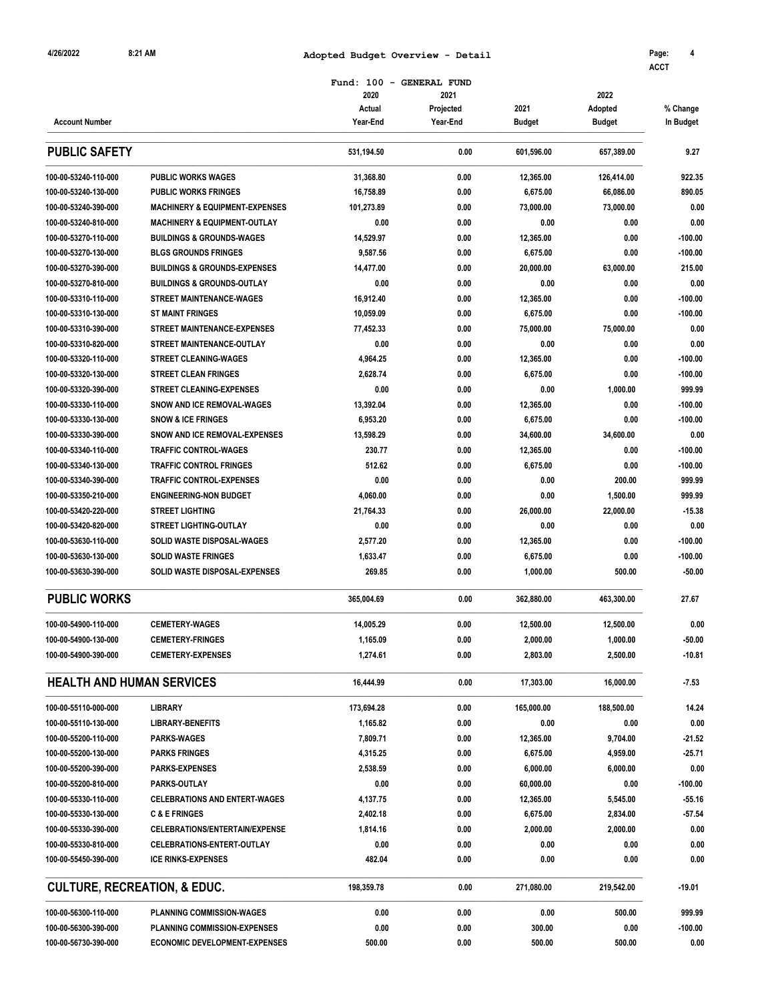## **8:21 AM Adopted Budget Overview - Detail 4 4/26/2022 Page:**

**ACCT**

|                                  | Fund: 100<br>$\overline{\phantom{a}}$<br><b>GENERAL FUND</b> |                |                   |               |                 |           |  |
|----------------------------------|--------------------------------------------------------------|----------------|-------------------|---------------|-----------------|-----------|--|
|                                  |                                                              | 2020<br>Actual | 2021<br>Projected | 2021          | 2022<br>Adopted | % Change  |  |
| <b>Account Number</b>            |                                                              | Year-End       | Year-End          | <b>Budget</b> | <b>Budget</b>   | In Budget |  |
| <b>PUBLIC SAFETY</b>             |                                                              | 531,194.50     | 0.00              | 601,596.00    | 657,389.00      | 9.27      |  |
| 100-00-53240-110-000             | <b>PUBLIC WORKS WAGES</b>                                    | 31,368.80      | 0.00              | 12,365.00     | 126,414.00      | 922.35    |  |
| 100-00-53240-130-000             | <b>PUBLIC WORKS FRINGES</b>                                  | 16,758.89      | 0.00              | 6,675.00      | 66,086.00       | 890.05    |  |
| 100-00-53240-390-000             | <b>MACHINERY &amp; EQUIPMENT-EXPENSES</b>                    | 101.273.89     | 0.00              | 73,000.00     | 73,000.00       | 0.00      |  |
| 100-00-53240-810-000             | <b>MACHINERY &amp; EQUIPMENT-OUTLAY</b>                      | 0.00           | 0.00              | 0.00          | 0.00            | 0.00      |  |
| 100-00-53270-110-000             | <b>BUILDINGS &amp; GROUNDS-WAGES</b>                         | 14.529.97      | 0.00              | 12,365.00     | 0.00            | $-100.00$ |  |
| 100-00-53270-130-000             | <b>BLGS GROUNDS FRINGES</b>                                  | 9,587.56       | 0.00              | 6,675.00      | 0.00            | $-100.00$ |  |
| 100-00-53270-390-000             | <b>BUILDINGS &amp; GROUNDS-EXPENSES</b>                      | 14,477.00      | 0.00              | 20,000.00     | 63,000.00       | 215.00    |  |
| 100-00-53270-810-000             | <b>BUILDINGS &amp; GROUNDS-OUTLAY</b>                        | 0.00           | 0.00              | 0.00          | 0.00            | 0.00      |  |
| 100-00-53310-110-000             | <b>STREET MAINTENANCE-WAGES</b>                              | 16,912.40      | 0.00              | 12,365.00     | 0.00            | $-100.00$ |  |
| 100-00-53310-130-000             | <b>ST MAINT FRINGES</b>                                      | 10,059.09      | 0.00              | 6,675.00      | 0.00            | $-100.00$ |  |
| 100-00-53310-390-000             | <b>STREET MAINTENANCE-EXPENSES</b>                           | 77.452.33      | 0.00              | 75,000.00     | 75,000.00       | 0.00      |  |
| 100-00-53310-820-000             | <b>STREET MAINTENANCE-OUTLAY</b>                             | 0.00           | 0.00              | 0.00          | 0.00            | 0.00      |  |
| 100-00-53320-110-000             | <b>STREET CLEANING-WAGES</b>                                 | 4,964.25       | 0.00              | 12,365.00     | 0.00            | $-100.00$ |  |
| 100-00-53320-130-000             | <b>STREET CLEAN FRINGES</b>                                  | 2,628.74       | 0.00              | 6,675.00      | 0.00            | $-100.00$ |  |
| 100-00-53320-390-000             | <b>STREET CLEANING-EXPENSES</b>                              | 0.00           | 0.00              | 0.00          | 1,000.00        | 999.99    |  |
| 100-00-53330-110-000             | <b>SNOW AND ICE REMOVAL-WAGES</b>                            | 13,392.04      | 0.00              | 12,365.00     | 0.00            | $-100.00$ |  |
| 100-00-53330-130-000             | <b>SNOW &amp; ICE FRINGES</b>                                | 6,953.20       | 0.00              | 6,675.00      | 0.00            | $-100.00$ |  |
| 100-00-53330-390-000             | SNOW AND ICE REMOVAL-EXPENSES                                | 13.598.29      | 0.00              | 34,600.00     | 34.600.00       | 0.00      |  |
| 100-00-53340-110-000             | <b>TRAFFIC CONTROL-WAGES</b>                                 | 230.77         | 0.00              | 12,365.00     | 0.00            | $-100.00$ |  |
| 100-00-53340-130-000             | <b>TRAFFIC CONTROL FRINGES</b>                               | 512.62         | 0.00              | 6,675.00      | 0.00            | $-100.00$ |  |
| 100-00-53340-390-000             | <b>TRAFFIC CONTROL-EXPENSES</b>                              | 0.00           | 0.00              | 0.00          | 200.00          | 999.99    |  |
| 100-00-53350-210-000             | <b>ENGINEERING-NON BUDGET</b>                                | 4,060.00       | 0.00              | 0.00          | 1,500.00        | 999.99    |  |
| 100-00-53420-220-000             | <b>STREET LIGHTING</b>                                       | 21,764.33      | 0.00              | 26,000.00     | 22,000.00       | $-15.38$  |  |
| 100-00-53420-820-000             | <b>STREET LIGHTING-OUTLAY</b>                                | 0.00           | 0.00              | 0.00          | 0.00            | 0.00      |  |
| 100-00-53630-110-000             | SOLID WASTE DISPOSAL-WAGES                                   | 2,577.20       | 0.00              | 12,365.00     | 0.00            | $-100.00$ |  |
| 100-00-53630-130-000             | <b>SOLID WASTE FRINGES</b>                                   | 1,633.47       | 0.00              | 6,675.00      | 0.00            | $-100.00$ |  |
| 100-00-53630-390-000             | <b>SOLID WASTE DISPOSAL-EXPENSES</b>                         | 269.85         | 0.00              | 1,000.00      | 500.00          | $-50.00$  |  |
| <b>PUBLIC WORKS</b>              |                                                              | 365,004.69     | 0.00              | 362,880.00    | 463,300.00      | 27.67     |  |
| 100-00-54900-110-000             | <b>CEMETERY-WAGES</b>                                        | 14.005.29      | 0.00              | 12,500.00     | 12,500.00       | 0.00      |  |
| 100-00-54900-130-000             | <b>CEMETERY-FRINGES</b>                                      | 1,165.09       | 0.00              | 2,000.00      | 1,000.00        | $-50.00$  |  |
| 100-00-54900-390-000             | <b>CEMETERY-EXPENSES</b>                                     | 1,274.61       | 0.00              | 2,803.00      | 2,500.00        | $-10.81$  |  |
| <b>HEALTH AND HUMAN SERVICES</b> |                                                              | 16,444.99      | 0.00              | 17,303.00     | 16,000.00       | $-7.53$   |  |
| 100-00-55110-000-000             | <b>LIBRARY</b>                                               | 173,694.28     | 0.00              | 165,000.00    | 188,500.00      | 14.24     |  |
| 100-00-55110-130-000             | <b>LIBRARY-BENEFITS</b>                                      | 1,165.82       | 0.00              | 0.00          | 0.00            | 0.00      |  |
| 100-00-55200-110-000             | <b>PARKS-WAGES</b>                                           | 7,809.71       | 0.00              | 12,365.00     | 9,704.00        | $-21.52$  |  |
| 100-00-55200-130-000             | <b>PARKS FRINGES</b>                                         | 4,315.25       | 0.00              | 6,675.00      | 4,959.00        | $-25.71$  |  |
| 100-00-55200-390-000             | <b>PARKS-EXPENSES</b>                                        | 2,538.59       | 0.00              | 6,000.00      | 6,000.00        | 0.00      |  |
| 100-00-55200-810-000             | <b>PARKS-OUTLAY</b>                                          | 0.00           | 0.00              | 60,000.00     | 0.00            | $-100.00$ |  |
| 100-00-55330-110-000             | <b>CELEBRATIONS AND ENTERT-WAGES</b>                         | 4,137.75       | 0.00              | 12,365.00     | 5,545.00        | $-55.16$  |  |
| 100-00-55330-130-000             | <b>C &amp; E FRINGES</b>                                     | 2,402.18       | 0.00              | 6,675.00      | 2,834.00        | $-57.54$  |  |
| 100-00-55330-390-000             | <b>CELEBRATIONS/ENTERTAIN/EXPENSE</b>                        | 1,814.16       | 0.00              | 2,000.00      | 2,000.00        | 0.00      |  |
| 100-00-55330-810-000             | CELEBRATIONS-ENTERT-OUTLAY                                   | 0.00           | 0.00              | 0.00          | 0.00            | 0.00      |  |
| 100-00-55450-390-000             | <b>ICE RINKS-EXPENSES</b>                                    | 482.04         | 0.00              | 0.00          | 0.00            | 0.00      |  |
|                                  | <b>CULTURE, RECREATION, &amp; EDUC.</b>                      | 198,359.78     | 0.00              | 271,080.00    | 219,542.00      | $-19.01$  |  |
| 100-00-56300-110-000             | PLANNING COMMISSION-WAGES                                    | 0.00           | 0.00              | 0.00          | 500.00          | 999.99    |  |
| 100-00-56300-390-000             | <b>PLANNING COMMISSION-EXPENSES</b>                          | 0.00           | 0.00              | 300.00        | 0.00            | $-100.00$ |  |
| 100-00-56730-390-000             | <b>ECONOMIC DEVELOPMENT-EXPENSES</b>                         | 500.00         | 0.00              | 500.00        | 500.00          | 0.00      |  |